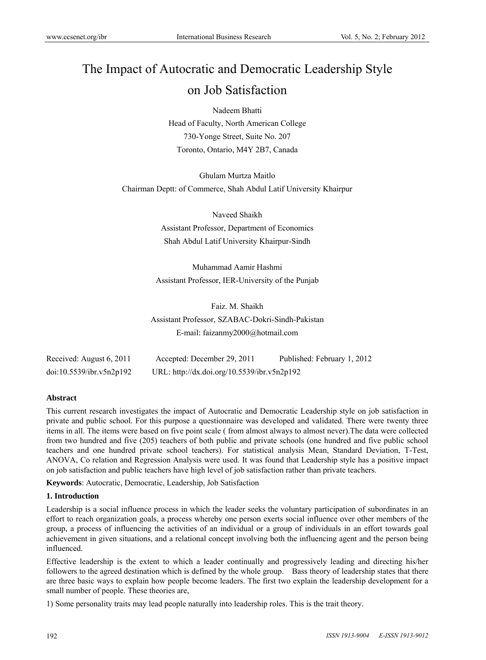# The Impact of Autocratic and Democratic Leadership Style on Job Satisfaction

Nadeem Bhatti Head of Faculty, North American College 730-Yonge Street, Suite No. 207 Toronto, Ontario, M4Y 2B7, Canada

Ghulam Murtza Maitlo Chairman Deptt: of Commerce, Shah Abdul Latif University Khairpur

> Naveed Shaikh Assistant Professor, Department of Economics Shah Abdul Latif University Khairpur-Sindh

Muhammad Aamir Hashmi Assistant Professor, IER-University of the Punjab

Faiz. M. Shaikh Assistant Professor, SZABAC-Dokri-Sindh-Pakistan E-mail: faizanmy2000@hotmail.com

| Received: August 6, 2011 | Accepted: December 29, 2011                 | Published: February 1, 2012 |
|--------------------------|---------------------------------------------|-----------------------------|
| doi:10.5539/ibr.v5n2p192 | URL: http://dx.doi.org/10.5539/ibr.v5n2p192 |                             |

## **Abstract**

This current research investigates the impact of Autocratic and Democratic Leadership style on job satisfaction in private and public school. For this purpose a questionnaire was developed and validated. There were twenty three items in all. The items were based on five point scale ( from almost always to almost never).The data were collected from two hundred and five (205) teachers of both public and private schools (one hundred and five public school teachers and one hundred private school teachers). For statistical analysis Mean, Standard Deviation, T-Test, ANOVA, Co relation and Regression Analysis were used. It was found that Leadership style has a positive impact on job satisfaction and public teachers have high level of job satisfaction rather than private teachers.

**Keywords**: Autocratic, Democratic, Leadership, Job Satisfaction

## **1. Introduction**

Leadership is a social influence process in which the leader seeks the voluntary participation of subordinates in an effort to reach organization goals, a process whereby one person exerts social influence over other members of the group, a process of influencing the activities of an individual or a group of individuals in an effort towards goal achievement in given situations, and a relational concept involving both the influencing agent and the person being influenced.

Effective leadership is the extent to which a leader continually and progressively leading and directing his/her followers to the agreed destination which is defined by the whole group. Bass theory of leadership states that there are three basic ways to explain how people become leaders. The first two explain the leadership development for a small number of people. These theories are,

1) Some personality traits may lead people naturally into leadership roles. This is the trait theory.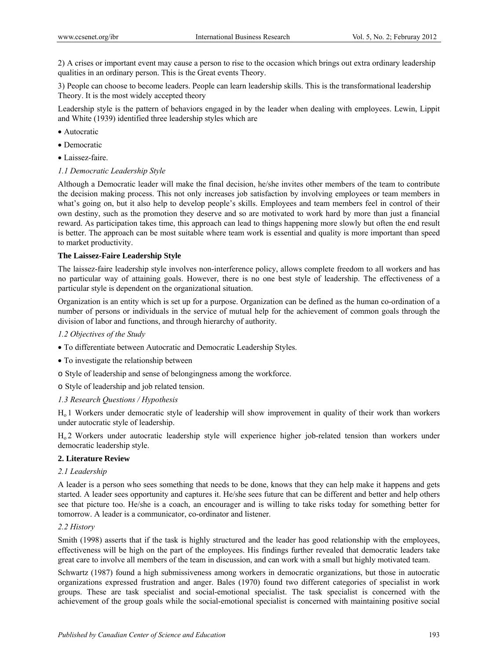2) A crises or important event may cause a person to rise to the occasion which brings out extra ordinary leadership qualities in an ordinary person. This is the Great events Theory.

3) People can choose to become leaders. People can learn leadership skills. This is the transformational leadership Theory. It is the most widely accepted theory

Leadership style is the pattern of behaviors engaged in by the leader when dealing with employees. Lewin, Lippit and White (1939) identified three leadership styles which are

- Autocratic
- Democratic
- Laissez-faire.

# *1.1 Democratic Leadership Style*

Although a Democratic leader will make the final decision, he/she invites other members of the team to contribute the decision making process. This not only increases job satisfaction by involving employees or team members in what's going on, but it also help to develop people's skills. Employees and team members feel in control of their own destiny, such as the promotion they deserve and so are motivated to work hard by more than just a financial reward. As participation takes time, this approach can lead to things happening more slowly but often the end result is better. The approach can be most suitable where team work is essential and quality is more important than speed to market productivity.

# **The Laissez-Faire Leadership Style**

The laissez-faire leadership style involves non-interference policy, allows complete freedom to all workers and has no particular way of attaining goals. However, there is no one best style of leadership. The effectiveness of a particular style is dependent on the organizational situation.

Organization is an entity which is set up for a purpose. Organization can be defined as the human co-ordination of a number of persons or individuals in the service of mutual help for the achievement of common goals through the division of labor and functions, and through hierarchy of authority.

## *1.2 Objectives of the Study*

- To differentiate between Autocratic and Democratic Leadership Styles.
- To investigate the relationship between
- o Style of leadership and sense of belongingness among the workforce.
- o Style of leadership and job related tension.

# *1.3 Research Questions / Hypothesis*

Ho 1 Workers under democratic style of leadership will show improvement in quality of their work than workers under autocratic style of leadership.

Ho 2 Workers under autocratic leadership style will experience higher job-related tension than workers under democratic leadership style.

## **2. Literature Review**

## *2.1 Leadership*

A leader is a person who sees something that needs to be done, knows that they can help make it happens and gets started. A leader sees opportunity and captures it. He/she sees future that can be different and better and help others see that picture too. He/she is a coach, an encourager and is willing to take risks today for something better for tomorrow. A leader is a communicator, co-ordinator and listener.

## *2.2 History*

Smith (1998) asserts that if the task is highly structured and the leader has good relationship with the employees, effectiveness will be high on the part of the employees. His findings further revealed that democratic leaders take great care to involve all members of the team in discussion, and can work with a small but highly motivated team.

Schwartz (1987) found a high submissiveness among workers in democratic organizations, but those in autocratic organizations expressed frustration and anger. Bales (1970) found two different categories of specialist in work groups. These are task specialist and social-emotional specialist. The task specialist is concerned with the achievement of the group goals while the social-emotional specialist is concerned with maintaining positive social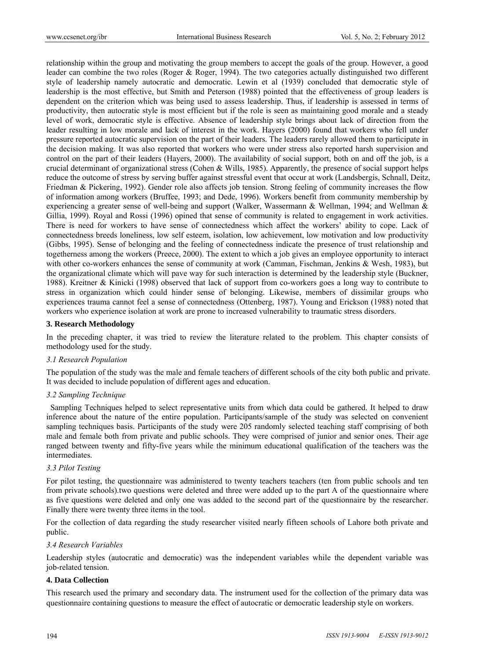relationship within the group and motivating the group members to accept the goals of the group. However, a good leader can combine the two roles (Roger & Roger, 1994). The two categories actually distinguished two different style of leadership namely autocratic and democratic. Lewin et al (1939) concluded that democratic style of leadership is the most effective, but Smith and Peterson (1988) pointed that the effectiveness of group leaders is dependent on the criterion which was being used to assess leadership. Thus, if leadership is assessed in terms of productivity, then autocratic style is most efficient but if the role is seen as maintaining good morale and a steady level of work, democratic style is effective. Absence of leadership style brings about lack of direction from the leader resulting in low morale and lack of interest in the work. Hayers (2000) found that workers who fell under pressure reported autocratic supervision on the part of their leaders. The leaders rarely allowed them to participate in the decision making. It was also reported that workers who were under stress also reported harsh supervision and control on the part of their leaders (Hayers, 2000). The availability of social support, both on and off the job, is a crucial determinant of organizational stress (Cohen & Wills, 1985). Apparently, the presence of social support helps reduce the outcome of stress by serving buffer against stressful event that occur at work (Landsbergis, Schnall, Deitz, Friedman & Pickering, 1992). Gender role also affects job tension. Strong feeling of community increases the flow of information among workers (Bruffee, 1993; and Dede, 1996). Workers benefit from community membership by experiencing a greater sense of well-being and support (Walker, Wassermann & Wellman, 1994; and Wellman & Gillia, 1999). Royal and Rossi (1996) opined that sense of community is related to engagement in work activities. There is need for workers to have sense of connectedness which affect the workers' ability to cope. Lack of connectedness breeds loneliness, low self esteem, isolation, low achievement, low motivation and low productivity (Gibbs, 1995). Sense of belonging and the feeling of connectedness indicate the presence of trust relationship and togetherness among the workers (Preece, 2000). The extent to which a job gives an employee opportunity to interact with other co-workers enhances the sense of community at work (Camman, Fischman, Jenkins & Wesh, 1983), but the organizational climate which will pave way for such interaction is determined by the leadership style (Buckner, 1988). Kreitner & Kinicki (1998) observed that lack of support from co-workers goes a long way to contribute to stress in organization which could hinder sense of belonging. Likewise, members of dissimilar groups who experiences trauma cannot feel a sense of connectedness (Ottenberg, 1987). Young and Erickson (1988) noted that workers who experience isolation at work are prone to increased vulnerability to traumatic stress disorders.

## **3. Research Methodology**

In the preceding chapter, it was tried to review the literature related to the problem. This chapter consists of methodology used for the study.

## *3.1 Research Population*

The population of the study was the male and female teachers of different schools of the city both public and private. It was decided to include population of different ages and education.

#### *3.2 Sampling Technique*

Sampling Techniques helped to select representative units from which data could be gathered. It helped to draw inference about the nature of the entire population. Participants/sample of the study was selected on convenient sampling techniques basis. Participants of the study were 205 randomly selected teaching staff comprising of both male and female both from private and public schools. They were comprised of junior and senior ones. Their age ranged between twenty and fifty-five years while the minimum educational qualification of the teachers was the intermediates.

## *3.3 Pilot Testing*

For pilot testing, the questionnaire was administered to twenty teachers teachers (ten from public schools and ten from private schools).two questions were deleted and three were added up to the part A of the questionnaire where as five questions were deleted and only one was added to the second part of the questionnaire by the researcher. Finally there were twenty three items in the tool.

For the collection of data regarding the study researcher visited nearly fifteen schools of Lahore both private and public.

#### *3.4 Research Variables*

Leadership styles (autocratic and democratic) was the independent variables while the dependent variable was job-related tension.

#### **4. Data Collection**

This research used the primary and secondary data. The instrument used for the collection of the primary data was questionnaire containing questions to measure the effect of autocratic or democratic leadership style on workers.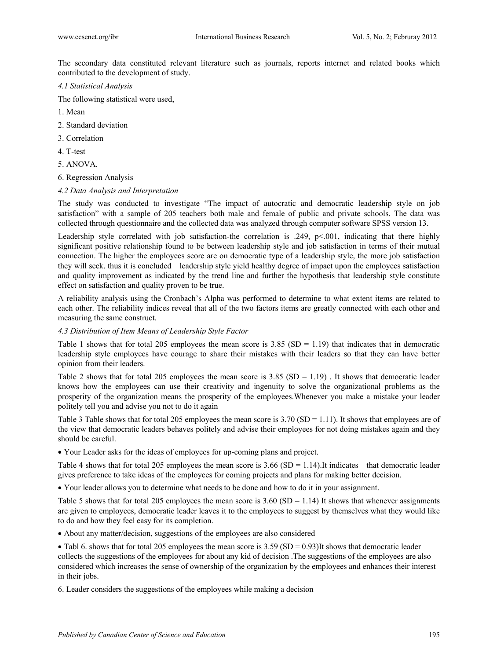The secondary data constituted relevant literature such as journals, reports internet and related books which contributed to the development of study.

*4.1 Statistical Analysis* 

The following statistical were used,

- 1. Mean
- 2. Standard deviation
- 3. Correlation
- 4. T-test
- 5. ANOVA.
- 6. Regression Analysis
- *4.2 Data Analysis and Interpretation*

The study was conducted to investigate "The impact of autocratic and democratic leadership style on job satisfaction" with a sample of 205 teachers both male and female of public and private schools. The data was collected through questionnaire and the collected data was analyzed through computer software SPSS version 13.

Leadership style correlated with job satisfaction-the correlation is .249,  $p<.001$ , indicating that there highly significant positive relationship found to be between leadership style and job satisfaction in terms of their mutual connection. The higher the employees score are on democratic type of a leadership style, the more job satisfaction they will seek. thus it is concluded leadership style yield healthy degree of impact upon the employees satisfaction and quality improvement as indicated by the trend line and further the hypothesis that leadership style constitute effect on satisfaction and quality proven to be true.

A reliability analysis using the Cronbach's Alpha was performed to determine to what extent items are related to each other. The reliability indices reveal that all of the two factors items are greatly connected with each other and measuring the same construct.

#### *4.3 Distribution of Item Means of Leadership Style Factor*

Table 1 shows that for total 205 employees the mean score is  $3.85$  (SD = 1.19) that indicates that in democratic leadership style employees have courage to share their mistakes with their leaders so that they can have better opinion from their leaders.

Table 2 shows that for total 205 employees the mean score is  $3.85$  (SD = 1.19). It shows that democratic leader knows how the employees can use their creativity and ingenuity to solve the organizational problems as the prosperity of the organization means the prosperity of the employees.Whenever you make a mistake your leader politely tell you and advise you not to do it again

Table 3 Table shows that for total 205 employees the mean score is  $3.70$  (SD = 1.11). It shows that employees are of the view that democratic leaders behaves politely and advise their employees for not doing mistakes again and they should be careful.

Your Leader asks for the ideas of employees for up-coming plans and project.

Table 4 shows that for total 205 employees the mean score is  $3.66$  (SD = 1.14).It indicates that democratic leader gives preference to take ideas of the employees for coming projects and plans for making better decision.

Your leader allows you to determine what needs to be done and how to do it in your assignment.

Table 5 shows that for total 205 employees the mean score is  $3.60$  (SD = 1.14) It shows that whenever assignments are given to employees, democratic leader leaves it to the employees to suggest by themselves what they would like to do and how they feel easy for its completion.

About any matter/decision, suggestions of the employees are also considered

• Tabl 6. shows that for total 205 employees the mean score is  $3.59$  (SD = 0.93)It shows that democratic leader collects the suggestions of the employees for about any kid of decision .The suggestions of the employees are also considered which increases the sense of ownership of the organization by the employees and enhances their interest in their jobs.

6. Leader considers the suggestions of the employees while making a decision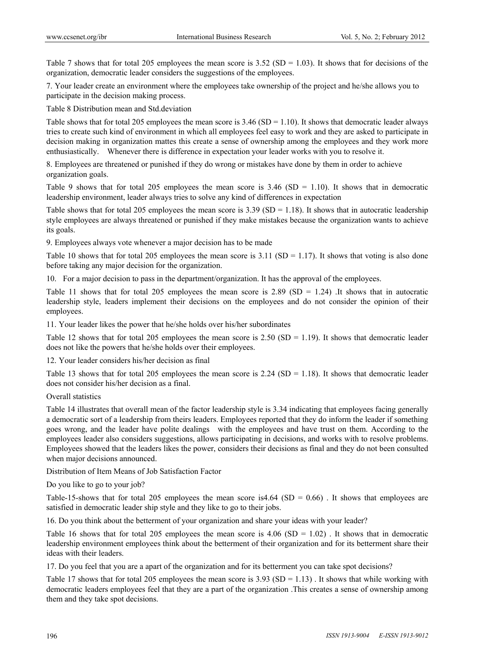Table 7 shows that for total 205 employees the mean score is  $3.52$  (SD = 1.03). It shows that for decisions of the organization, democratic leader considers the suggestions of the employees.

7. Your leader create an environment where the employees take ownership of the project and he/she allows you to participate in the decision making process.

Table 8 Distribution mean and Std.deviation

Table shows that for total 205 employees the mean score is  $3.46$  (SD = 1.10). It shows that democratic leader always tries to create such kind of environment in which all employees feel easy to work and they are asked to participate in decision making in organization mattes this create a sense of ownership among the employees and they work more enthusiastically. Whenever there is difference in expectation your leader works with you to resolve it.

8. Employees are threatened or punished if they do wrong or mistakes have done by them in order to achieve organization goals.

Table 9 shows that for total 205 employees the mean score is  $3.46$  (SD = 1.10). It shows that in democratic leadership environment, leader always tries to solve any kind of differences in expectation

Table shows that for total 205 employees the mean score is  $3.39 \text{ (SD} = 1.18)$ . It shows that in autocratic leadership style employees are always threatened or punished if they make mistakes because the organization wants to achieve its goals.

9. Employees always vote whenever a major decision has to be made

Table 10 shows that for total 205 employees the mean score is 3.11 ( $SD = 1.17$ ). It shows that voting is also done before taking any major decision for the organization.

10. For a major decision to pass in the department/organization. It has the approval of the employees.

Table 11 shows that for total 205 employees the mean score is 2.89 (SD = 1.24) .It shows that in autocratic leadership style, leaders implement their decisions on the employees and do not consider the opinion of their employees.

11. Your leader likes the power that he/she holds over his/her subordinates

Table 12 shows that for total 205 employees the mean score is  $2.50$  (SD = 1.19). It shows that democratic leader does not like the powers that he/she holds over their employees.

12. Your leader considers his/her decision as final

Table 13 shows that for total 205 employees the mean score is  $2.24$  (SD = 1.18). It shows that democratic leader does not consider his/her decision as a final.

#### Overall statistics

Table 14 illustrates that overall mean of the factor leadership style is 3.34 indicating that employees facing generally a democratic sort of a leadership from theirs leaders. Employees reported that they do inform the leader if something goes wrong, and the leader have polite dealings with the employees and have trust on them. According to the employees leader also considers suggestions, allows participating in decisions, and works with to resolve problems. Employees showed that the leaders likes the power, considers their decisions as final and they do not been consulted when major decisions announced.

Distribution of Item Means of Job Satisfaction Factor

Do you like to go to your job?

Table-15-shows that for total 205 employees the mean score is 4.64 (SD = 0.66). It shows that employees are satisfied in democratic leader ship style and they like to go to their jobs.

16. Do you think about the betterment of your organization and share your ideas with your leader?

Table 16 shows that for total 205 employees the mean score is 4.06 (SD = 1.02). It shows that in democratic leadership environment employees think about the betterment of their organization and for its betterment share their ideas with their leaders.

17. Do you feel that you are a apart of the organization and for its betterment you can take spot decisions?

Table 17 shows that for total 205 employees the mean score is 3.93 (SD = 1.13). It shows that while working with democratic leaders employees feel that they are a part of the organization .This creates a sense of ownership among them and they take spot decisions.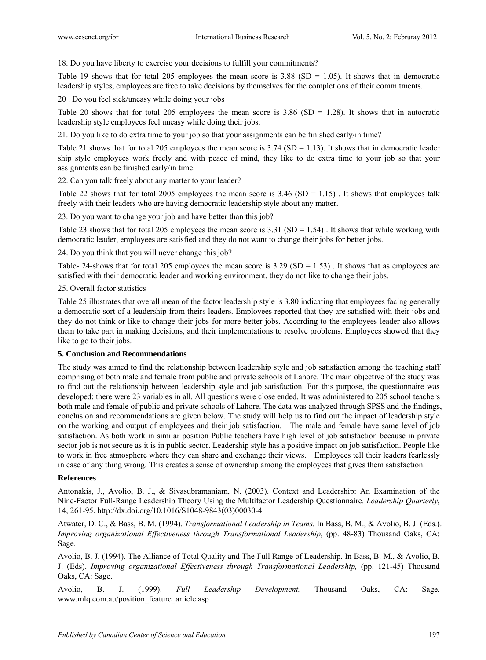18. Do you have liberty to exercise your decisions to fulfill your commitments?

Table 19 shows that for total 205 employees the mean score is 3.88 (SD = 1.05). It shows that in democratic leadership styles, employees are free to take decisions by themselves for the completions of their commitments.

20 . Do you feel sick/uneasy while doing your jobs

Table 20 shows that for total 205 employees the mean score is 3.86 (SD = 1.28). It shows that in autocratic leadership style employees feel uneasy while doing their jobs.

21. Do you like to do extra time to your job so that your assignments can be finished early/in time?

Table 21 shows that for total 205 employees the mean score is  $3.74$  (SD = 1.13). It shows that in democratic leader ship style employees work freely and with peace of mind, they like to do extra time to your job so that your assignments can be finished early/in time.

22. Can you talk freely about any matter to your leader?

Table 22 shows that for total 2005 employees the mean score is  $3.46$  (SD = 1.15). It shows that employees talk freely with their leaders who are having democratic leadership style about any matter.

23. Do you want to change your job and have better than this job?

Table 23 shows that for total 205 employees the mean score is  $3.31$  (SD = 1.54). It shows that while working with democratic leader, employees are satisfied and they do not want to change their jobs for better jobs.

24. Do you think that you will never change this job?

Table- 24-shows that for total 205 employees the mean score is  $3.29$  (SD = 1.53). It shows that as employees are satisfied with their democratic leader and working environment, they do not like to change their jobs.

## 25. Overall factor statistics

Table 25 illustrates that overall mean of the factor leadership style is 3.80 indicating that employees facing generally a democratic sort of a leadership from theirs leaders. Employees reported that they are satisfied with their jobs and they do not think or like to change their jobs for more better jobs. According to the employees leader also allows them to take part in making decisions, and their implementations to resolve problems. Employees showed that they like to go to their jobs.

## **5. Conclusion and Recommendations**

The study was aimed to find the relationship between leadership style and job satisfaction among the teaching staff comprising of both male and female from public and private schools of Lahore. The main objective of the study was to find out the relationship between leadership style and job satisfaction. For this purpose, the questionnaire was developed; there were 23 variables in all. All questions were close ended. It was administered to 205 school teachers both male and female of public and private schools of Lahore. The data was analyzed through SPSS and the findings, conclusion and recommendations are given below. The study will help us to find out the impact of leadership style on the working and output of employees and their job satisfaction. The male and female have same level of job satisfaction. As both work in similar position Public teachers have high level of job satisfaction because in private sector job is not secure as it is in public sector. Leadership style has a positive impact on job satisfaction. People like to work in free atmosphere where they can share and exchange their views. Employees tell their leaders fearlessly in case of any thing wrong. This creates a sense of ownership among the employees that gives them satisfaction.

## **References**

Antonakis, J., Avolio, B. J., & Sivasubramaniam, N. (2003). Context and Leadership: An Examination of the Nine-Factor Full-Range Leadership Theory Using the Multifactor Leadership Questionnaire. *Leadership Quarterly*, 14, 261-95. http://dx.doi.org/10.1016/S1048-9843(03)00030-4

Atwater, D. C., & Bass, B. M. (1994). *Transformational Leadership in Teams.* In Bass, B. M., & Avolio, B. J. (Eds.). *Improving organizational Effectiveness through Transformational Leadership*, (pp. 48-83) Thousand Oaks, CA: Sage*.* 

Avolio, B. J. (1994). The Alliance of Total Quality and The Full Range of Leadership. In Bass, B. M., & Avolio, B. J. (Eds). *Improving organizational Effectiveness through Transformational Leadership,* (pp. 121-45) Thousand Oaks, CA: Sage.

Avolio, B. J. (1999). *Full Leadership Development.* Thousand Oaks, CA: Sage. www.mlq.com.au/position\_feature\_article.asp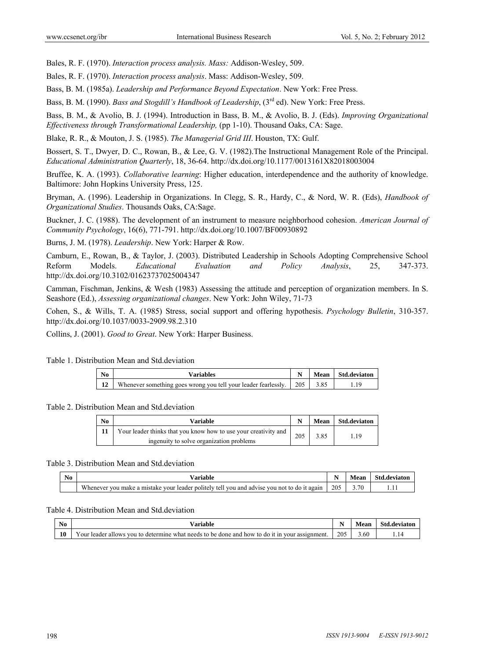Bales, R. F. (1970). *Interaction process analysis. Mass:* Addison-Wesley, 509.

Bales, R. F. (1970). *Interaction process analysis*. Mass: Addison-Wesley, 509.

Bass, B. M. (1985a). *Leadership and Performance Beyond Expectation*. New York: Free Press.

Bass, B. M. (1990). *Bass and Stogdill's Handbook of Leadership*, (3<sup>rd</sup> ed). New York: Free Press.

Bass, B. M., & Avolio, B. J. (1994). Introduction in Bass, B. M., & Avolio, B. J. (Eds). *Improving Organizational Effectiveness through Transformational Leadership,* (pp 1-10). Thousand Oaks, CA: Sage.

Blake, R. R., & Mouton, J. S. (1985). *The Managerial Grid III*. Houston, TX: Gulf.

Bossert, S. T., Dwyer, D. C., Rowan, B., & Lee, G. V. (1982).The Instructional Management Role of the Principal. *Educational Administration Quarterly*, 18, 36-64. http://dx.doi.org/10.1177/0013161X82018003004

Bruffee, K. A. (1993). *Collaborative learning*: Higher education, interdependence and the authority of knowledge. Baltimore: John Hopkins University Press, 125.

Bryman, A. (1996). Leadership in Organizations. In Clegg, S. R., Hardy, C., & Nord, W. R. (Eds), *Handbook of Organizational Studies*. Thousands Oaks, CA:Sage.

Buckner, J. C. (1988). The development of an instrument to measure neighborhood cohesion. *American Journal of Community Psychology*, 16(6), 771-791. http://dx.doi.org/10.1007/BF00930892

Burns, J. M. (1978). *Leadership*. New York: Harper & Row.

Camburn, E., Rowan, B., & Taylor, J. (2003). Distributed Leadership in Schools Adopting Comprehensive School Reform Models. *Educational Evaluation and Policy Analysis*, 25, 347-373. http://dx.doi.org/10.3102/01623737025004347

Camman, Fischman, Jenkins, & Wesh (1983) Assessing the attitude and perception of organization members. In S. Seashore (Ed.), *Assessing organizational changes*. New York: John Wiley, 71-73

Cohen, S., & Wills, T. A. (1985) Stress, social support and offering hypothesis. *Psychology Bulletin*, 310-357. http://dx.doi.org/10.1037/0033-2909.98.2.310

Collins, J. (2001). *Good to Great*. New York: Harper Business.

Table 1. Distribution Mean and Std.deviation

| N <sub>0</sub> | Variables                                                          | Mean | <b>Std.deviaton</b> |
|----------------|--------------------------------------------------------------------|------|---------------------|
|                | Whenever something goes wrong you tell your leader fearlessly. 205 |      |                     |

Table 2. Distribution Mean and Std.deviation

| No | Variable                                                        |     | Mean | <b>Std.deviaton</b> |
|----|-----------------------------------------------------------------|-----|------|---------------------|
|    | Your leader thinks that you know how to use your creativity and | 205 | 3.85 | -19                 |
|    | ingenuity to solve organization problems                        |     |      |                     |

Table 3. Distribution Mean and Std.deviation

| - -<br>N0 | √ariable                                                                                                                          | - - | <b>Mean</b> | Std<br>1.deviaton |
|-----------|-----------------------------------------------------------------------------------------------------------------------------------|-----|-------------|-------------------|
|           | Whenever<br>a mistake vour<br>r politely tell vou and<br>' again<br>make a<br>. leader<br>i advise vou not to do it<br><b>VOU</b> | 205 | 70          | .                 |

#### Table 4. Distribution Mean and Std.deviation

| N <sub>0</sub> | 'ariable                                                                                                 |     | Mean | Std.deviaton |
|----------------|----------------------------------------------------------------------------------------------------------|-----|------|--------------|
| 10             | u to determine what needs to be done and how to do it in your assignment.<br>Your leader allows "<br>vou | 205 | 3.60 | 1.1          |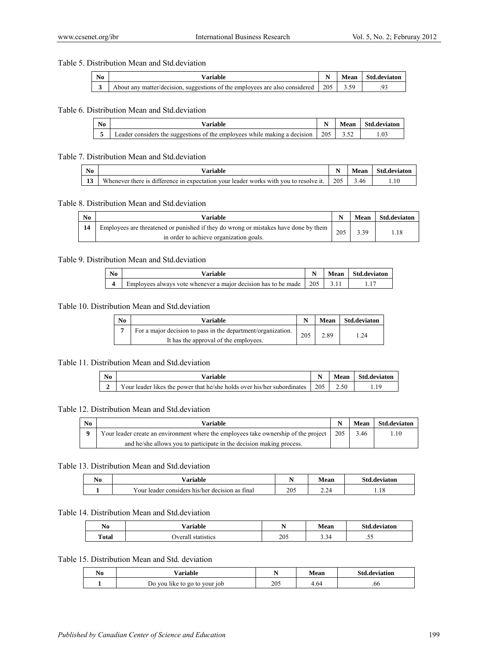## Table 5. Distribution Mean and Std.deviation

| No | Variable                                                                    |     | Mean | <b>Std.deviaton</b> |
|----|-----------------------------------------------------------------------------|-----|------|---------------------|
|    | About any matter/decision, suggestions of the employees are also considered | 205 |      |                     |

# Table 6. Distribution Mean and Std.deviation

| No | Variable                                                                  |     | Mean | <b>Std.deviaton</b> |
|----|---------------------------------------------------------------------------|-----|------|---------------------|
|    | Leader considers the suggestions of the employees while making a decision | 205 |      |                     |

## Table 7. Distribution Mean and Std.deviation

| N <sub>0</sub> | √ariable                                                                              |     | Mean | <b>Std.deviaton</b> |
|----------------|---------------------------------------------------------------------------------------|-----|------|---------------------|
| $\sim$<br>⊥പ   | Whenever there is difference in expectation your leader works with you to resolve it. | 205 | 46   | $\ldots$ 10         |

### Table 8. Distribution Mean and Std.deviation

| N <sub>0</sub> | Variable                                                                            |     | Mean | <b>Std.deviaton</b> |
|----------------|-------------------------------------------------------------------------------------|-----|------|---------------------|
|                | Employees are threatened or punished if they do wrong or mistakes have done by them | 205 | 3.30 | l.18                |
|                | in order to achieve organization goals.                                             |     |      |                     |

### Table 9. Distribution Mean and Std.deviation

| No | $\mathrm{v}_\mathrm{ariable}$ .                                | ,,  | Mean | <b>Std.deviaton</b> |
|----|----------------------------------------------------------------|-----|------|---------------------|
|    | Employees always vote whenever a major decision has to be made | 205 |      |                     |

## Table 10. Distribution Mean and Std.deviation

| No. | Variable                                                     |     | Mean | <b>Std.deviaton</b> |
|-----|--------------------------------------------------------------|-----|------|---------------------|
|     | For a major decision to pass in the department/organization. | 205 | 2.89 | 1.24                |
|     | It has the approval of the employees.                        |     |      |                     |

## Table 11. Distribution Mean and Std.deviation

| No | Variable                                                                |     | Mean | <b>Std.deviaton</b> |
|----|-------------------------------------------------------------------------|-----|------|---------------------|
|    | Your leader likes the power that he/she holds over his/her subordinates | 205 |      | ۱Q                  |

## Table 12. Distribution Mean and Std.deviation

| N <sub>0</sub> | Variable                                                                                  | Mean | <b>Std.deviaton</b> |
|----------------|-------------------------------------------------------------------------------------------|------|---------------------|
|                | Your leader create an environment where the employees take ownership of the project   205 | 3.46 | l.10                |
|                | and he/she allows you to participate in the decision making process.                      |      |                     |

#### Table 13. Distribution Mean and Std.deviation

| LVU | ∕ariable                                              |     | <b>Mean</b> | <b>Std.deviaton</b>    |
|-----|-------------------------------------------------------|-----|-------------|------------------------|
|     | r considers his/her decision as final<br>r our leader | 205 | 22<br>4.4   | 1 <sup>°</sup><br>1.10 |

# Table 14. Distribution Mean and Std.deviation

| . .<br>INO   | Variable              | . . | Mean                         | <b>Std.deviaton</b> |
|--------------|-----------------------|-----|------------------------------|---------------------|
| <b>Total</b> | )verall<br>statistics | 205 | $\sim$ $\sim$<br><u>J.JT</u> | ں ب                 |

# Table 15. Distribution Mean and Std. deviation

| No | ⁄ ariable                        |     | Mean | Std<br>.deviation |
|----|----------------------------------|-----|------|-------------------|
|    | vou like to go to your job<br>Dθ | 205 | 4.64 | .66               |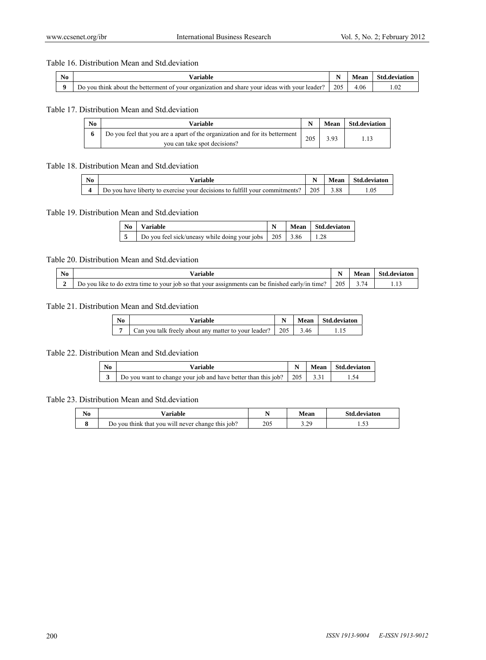## Table 16. Distribution Mean and Std.deviation

| $\mathbf{N_0}$ | /ariable                                                                                                                               | - - | Vlear | Std<br>.deviation |
|----------------|----------------------------------------------------------------------------------------------------------------------------------------|-----|-------|-------------------|
| $\Omega$       | $\sim$<br>think about the betterment<br>: vour organization and :<br>a share vour<br>ideas with<br>vour<br>leader<br>. ot<br>vou<br>Dο | 205 | .06   | 1.02              |

#### Table 17. Distribution Mean and Std.deviation

| N <sub>0</sub> | Variable                                                                    |     | Mean | <b>Std.deviation</b> |
|----------------|-----------------------------------------------------------------------------|-----|------|----------------------|
|                | Do you feel that you are a apart of the organization and for its betterment | 205 |      |                      |
|                | you can take spot decisions?                                                |     | 3.93 |                      |

# Table 18. Distribution Mean and Std.deviation

| No | √ariable                                                                    |     | Mean | <b>Std.deviaton</b> |
|----|-----------------------------------------------------------------------------|-----|------|---------------------|
|    | Do you have liberty to exercise your decisions to fulfill your commitments? | 205 |      | .03                 |

## Table 19. Distribution Mean and Std.deviation

| No Variable                                              |  | Mean Std.deviaton |
|----------------------------------------------------------|--|-------------------|
| Do you feel sick/uneasy while doing your jobs 205 3.86 7 |  |                   |

## Table 20. Distribution Mean and Std.deviation

| No | /ariable                                                                                                        | .,  | Mean | <b>Std.deviaton</b> |
|----|-----------------------------------------------------------------------------------------------------------------|-----|------|---------------------|
|    | ) your job so that your assignments can be finished early/in<br>time.<br>i like to do extra time to l<br>Do vou | 205 | _ .  | .                   |

## Table 21. Distribution Mean and Std.deviation

| Variable                                                 |     | Mean | <b>Std.deviaton</b> |
|----------------------------------------------------------|-----|------|---------------------|
| Can you talk freely about any matter to your leader?   2 | 205 | 3.46 |                     |

# Table 22. Distribution Mean and Std.deviation

| No | Variable                                                      |     | Mean | <b>Std.deviaton</b> |
|----|---------------------------------------------------------------|-----|------|---------------------|
|    | Do you want to change your job and have better than this job? | 205 |      |                     |

# Table 23. Distribution Mean and Std.deviation

| N <sub>0</sub> | Variable                                          |     | Mean           | <b>Std.deviaton</b> |
|----------------|---------------------------------------------------|-----|----------------|---------------------|
|                | Do you think that you will never change this job? | 205 | ാറ<br>ر سے . ب | . <i>.</i>          |